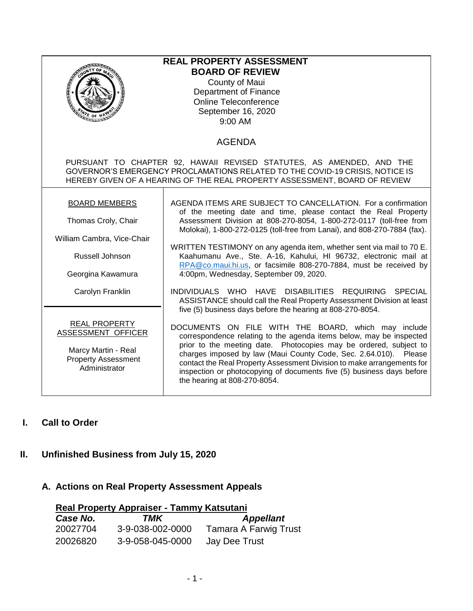| <b>REAL PROPERTY ASSESSMENT</b><br><b>BOARD OF REVIEW</b><br>County of Maui<br>Department of Finance<br><b>Online Teleconference</b><br>September 16, 2020<br>E OF H<br><u>annon</u><br>9:00 AM                                    |                                                                                                                                                                                                                                                                                                                                                                                                                                                        |  |  |  |
|------------------------------------------------------------------------------------------------------------------------------------------------------------------------------------------------------------------------------------|--------------------------------------------------------------------------------------------------------------------------------------------------------------------------------------------------------------------------------------------------------------------------------------------------------------------------------------------------------------------------------------------------------------------------------------------------------|--|--|--|
| <b>AGENDA</b>                                                                                                                                                                                                                      |                                                                                                                                                                                                                                                                                                                                                                                                                                                        |  |  |  |
| PURSUANT TO CHAPTER 92, HAWAII REVISED STATUTES, AS AMENDED, AND THE<br>GOVERNOR'S EMERGENCY PROCLAMATIONS RELATED TO THE COVID-19 CRISIS, NOTICE IS<br>HEREBY GIVEN OF A HEARING OF THE REAL PROPERTY ASSESSMENT, BOARD OF REVIEW |                                                                                                                                                                                                                                                                                                                                                                                                                                                        |  |  |  |
| <b>BOARD MEMBERS</b>                                                                                                                                                                                                               | AGENDA ITEMS ARE SUBJECT TO CANCELLATION. For a confirmation<br>of the meeting date and time, please contact the Real Property                                                                                                                                                                                                                                                                                                                         |  |  |  |
| Thomas Croly, Chair                                                                                                                                                                                                                | Assessment Division at 808-270-8054, 1-800-272-0117 (toll-free from<br>Molokai), 1-800-272-0125 (toll-free from Lanai), and 808-270-7884 (fax).                                                                                                                                                                                                                                                                                                        |  |  |  |
| William Cambra, Vice-Chair                                                                                                                                                                                                         | WRITTEN TESTIMONY on any agenda item, whether sent via mail to 70 E.<br>Kaahumanu Ave., Ste. A-16, Kahului, HI 96732, electronic mail at<br>RPA@co.maui.hi.us, or facsimile 808-270-7884, must be received by                                                                                                                                                                                                                                          |  |  |  |
| Russell Johnson                                                                                                                                                                                                                    |                                                                                                                                                                                                                                                                                                                                                                                                                                                        |  |  |  |
| Georgina Kawamura                                                                                                                                                                                                                  | 4:00pm, Wednesday, September 09, 2020.                                                                                                                                                                                                                                                                                                                                                                                                                 |  |  |  |
| Carolyn Franklin                                                                                                                                                                                                                   | INDIVIDUALS WHO HAVE DISABILITIES REQUIRING SPECIAL<br>ASSISTANCE should call the Real Property Assessment Division at least<br>five (5) business days before the hearing at 808-270-8054.                                                                                                                                                                                                                                                             |  |  |  |
| <b>REAL PROPERTY</b><br>ASSESSMENT OFFICER<br>Marcy Martin - Real<br><b>Property Assessment</b><br>Administrator                                                                                                                   | DOCUMENTS ON FILE WITH THE BOARD, which may include<br>correspondence relating to the agenda items below, may be inspected<br>prior to the meeting date. Photocopies may be ordered, subject to<br>charges imposed by law (Maui County Code, Sec. 2.64.010). Please<br>contact the Real Property Assessment Division to make arrangements for<br>inspection or photocopying of documents five (5) business days before<br>the hearing at 808-270-8054. |  |  |  |

# **I. Call to Order**

# **II. Unfinished Business from July 15, 2020**

# **A. Actions on Real Property Assessment Appeals**

| Real Property Appraiser - Tammy Katsutani |                  |                              |  |  |
|-------------------------------------------|------------------|------------------------------|--|--|
| Case No.                                  | TMK              | <b>Appellant</b>             |  |  |
| 20027704                                  | 3-9-038-002-0000 | <b>Tamara A Farwig Trust</b> |  |  |
| 20026820                                  | 3-9-058-045-0000 | Jay Dee Trust                |  |  |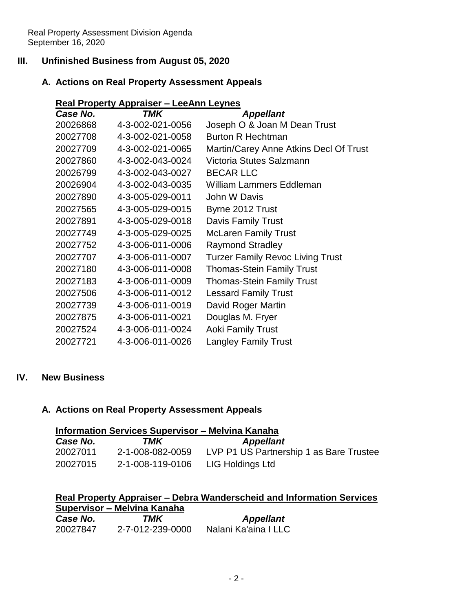## **III. Unfinished Business from August 05, 2020**

## **A. Actions on Real Property Assessment Appeals**

## **Real Property Appraiser – LeeAnn Leynes**

| Case No. | <b>TMK</b>       | <b>Appellant</b>                        |
|----------|------------------|-----------------------------------------|
| 20026868 | 4-3-002-021-0056 | Joseph O & Joan M Dean Trust            |
| 20027708 | 4-3-002-021-0058 | <b>Burton R Hechtman</b>                |
| 20027709 | 4-3-002-021-0065 | Martin/Carey Anne Atkins Decl Of Trust  |
| 20027860 | 4-3-002-043-0024 | Victoria Stutes Salzmann                |
| 20026799 | 4-3-002-043-0027 | <b>BECAR LLC</b>                        |
| 20026904 | 4-3-002-043-0035 | William Lammers Eddleman                |
| 20027890 | 4-3-005-029-0011 | John W Davis                            |
| 20027565 | 4-3-005-029-0015 | Byrne 2012 Trust                        |
| 20027891 | 4-3-005-029-0018 | Davis Family Trust                      |
| 20027749 | 4-3-005-029-0025 | <b>McLaren Family Trust</b>             |
| 20027752 | 4-3-006-011-0006 | <b>Raymond Stradley</b>                 |
| 20027707 | 4-3-006-011-0007 | <b>Turzer Family Revoc Living Trust</b> |
| 20027180 | 4-3-006-011-0008 | <b>Thomas-Stein Family Trust</b>        |
| 20027183 | 4-3-006-011-0009 | <b>Thomas-Stein Family Trust</b>        |
| 20027506 | 4-3-006-011-0012 | <b>Lessard Family Trust</b>             |
| 20027739 | 4-3-006-011-0019 | David Roger Martin                      |
| 20027875 | 4-3-006-011-0021 | Douglas M. Fryer                        |
| 20027524 | 4-3-006-011-0024 | <b>Aoki Family Trust</b>                |
| 20027721 | 4-3-006-011-0026 | <b>Langley Family Trust</b>             |

#### **IV. New Business**

#### **A. Actions on Real Property Assessment Appeals**

| <b>Information Services Supervisor - Melvina Kanaha</b> |                  |                                         |  |  |
|---------------------------------------------------------|------------------|-----------------------------------------|--|--|
| Case No.                                                | TMK              | <b>Appellant</b>                        |  |  |
| 20027011                                                | 2-1-008-082-0059 | LVP P1 US Partnership 1 as Bare Trustee |  |  |
| 20027015                                                | 2-1-008-119-0106 | LIG Holdings Ltd                        |  |  |

# **Real Property Appraiser – Debra Wanderscheid and Information Services Supervisor – Melvina Kanaha**

| Case No. | TMK              | <b>Appellant</b>     |
|----------|------------------|----------------------|
| 20027847 | 2-7-012-239-0000 | Nalani Ka'aina I LLC |